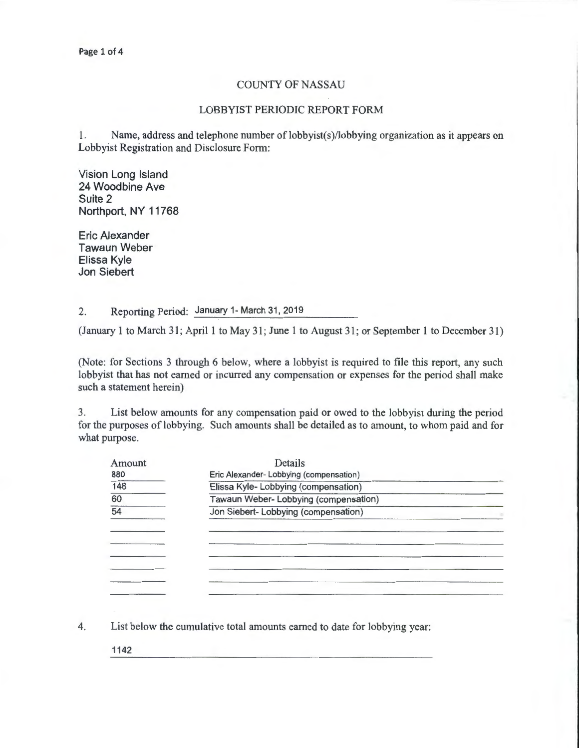## COUNTY OF NASSAU

## LOBBYIST PERIODIC REPORT FORM

1. Name, address and telephone number of lobbyist(s)/lobbying organization as it appears on Lobbyist Registration and Disclosure Form:

Vision Long Island 24 Woodbine Ave Suite 2 Northport, NY 11768

Eric Alexander Tawaun Weber Elissa Kyle Jon Siebert

2. Reporting Period: January 1- March 31, 2019

(January 1 to March 31; April 1 to May 31; June 1 to August 31; or September 1 to December 31)

(Note: for Sections 3 through 6 below, where a lobbyist is required to file this report, any such lobbyist that has not earned or incurred any compensation or expenses for the period shall make such a statement herein)

3. List below amounts for any compensation paid or owed to the lobbyist during the period for the purposes of lobbying. Such amounts shall be detailed as to amount, to whom paid and for what purpose.

| Amount          | Details                                |  |  |  |  |  |
|-----------------|----------------------------------------|--|--|--|--|--|
| 880             | Eric Alexander-Lobbying (compensation) |  |  |  |  |  |
| 148             | Elissa Kyle- Lobbying (compensation)   |  |  |  |  |  |
| 60              | Tawaun Weber- Lobbying (compensation)  |  |  |  |  |  |
| $\overline{54}$ | Jon Siebert- Lobbying (compensation)   |  |  |  |  |  |
|                 |                                        |  |  |  |  |  |
|                 |                                        |  |  |  |  |  |
|                 |                                        |  |  |  |  |  |
|                 |                                        |  |  |  |  |  |
|                 |                                        |  |  |  |  |  |
|                 |                                        |  |  |  |  |  |

4. List below the cumulative total amounts earned to date for lobbying year:

1142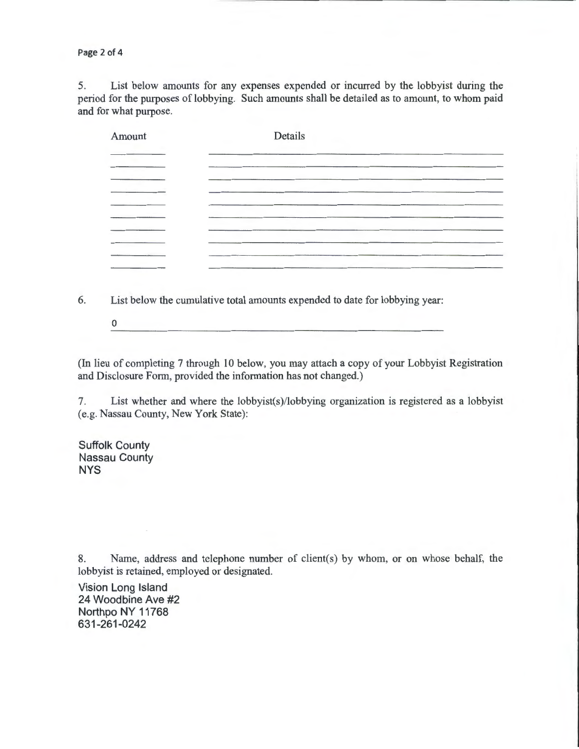Page 2 of 4

5. List below amounts for any expenses expended or incurred by the lobbyist during the period for the purposes of lobbying. Such amounts shall be detailed as to amount, to whom paid and for what purpose.

| Amount | Details |  |  |  |  |  |
|--------|---------|--|--|--|--|--|
|        |         |  |  |  |  |  |
|        |         |  |  |  |  |  |
|        |         |  |  |  |  |  |
|        |         |  |  |  |  |  |
|        |         |  |  |  |  |  |
| ----   |         |  |  |  |  |  |

6. List below the cumulative total amounts expended to date for lobbying year:

0

(In lieu of completing 7 through 10 below, you may attach a copy of your Lobbyist Registration and Disclosure Form, provided the information has not changed.)

7. List whether and where the lobbyist(s)/lobbying organization is registered as a lobbyist (e.g. Nassau County, New York State):

Suffolk County Nassau County NYS

8. Name, address and telephone number of client(s) by whom, or on whose behalf, the lobbyist is retained, employed or designated.

Vision Long Island 24 Woodbine Ave #2 Northpo NY 11768 631-261-0242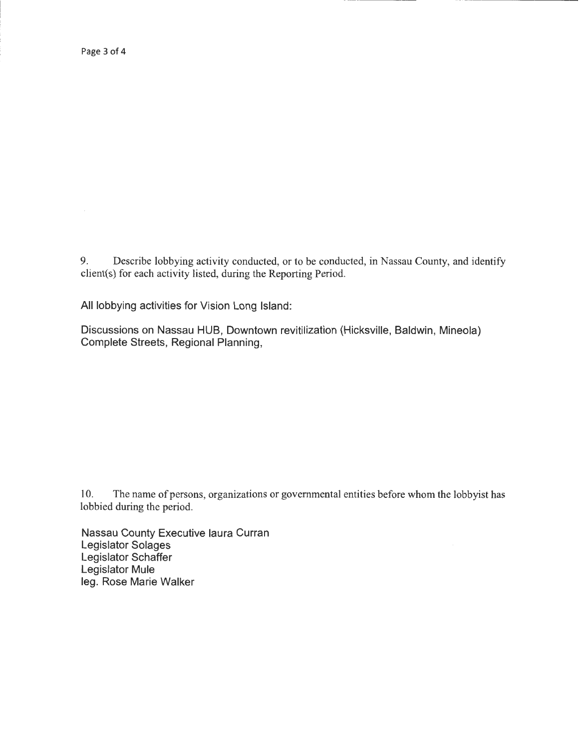9. Describe lobbying activity conducted, or to be conducted, in Nassau County, and identify client(s) for each activity listed, during the Reporting Period.

All lobbying activities for Vision Long Island:

Discussions on Nassau HUB, Downtown revitilization (Hicksville, Baldwin, Mineola) Complete Streets, Regional Planning,

10. The name of persons, organizations or governmental entities before whom the lobbyist has lobbied during the period.

Nassau County Executive laura Curran Legislator Solages Legislator Schaffer Legislator Mule leg. Rose Marie Walker